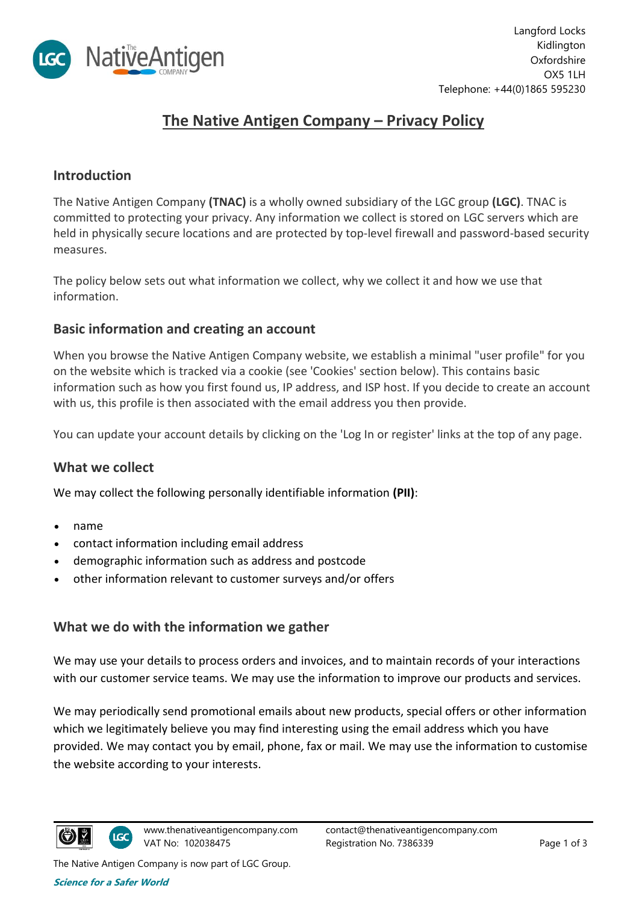

# **The Native Antigen Company – Privacy Policy**

#### **Introduction**

The Native Antigen Company **(TNAC)** is a wholly owned subsidiary of the LGC group **(LGC)**. TNAC is committed to protecting your privacy. Any information we collect is stored on LGC servers which are held in physically secure locations and are protected by top-level firewall and password-based security measures.

The policy below sets out what information we collect, why we collect it and how we use that information.

## **Basic information and creating an account**

When you browse the Native Antigen Company website, we establish a minimal "user profile" for you on the website which is tracked via a cookie (see 'Cookies' section below). This contains basic information such as how you first found us, IP address, and ISP host. If you decide to create an account with us, this profile is then associated with the email address you then provide.

You can update your account details by clicking on the 'Log In or register' links at the top of any page.

## **What we collect**

We may collect the following personally identifiable information **(PII)**:

- name
- contact information including email address
- demographic information such as address and postcode
- other information relevant to customer surveys and/or offers

#### **What we do with the information we gather**

We may use your details to process orders and invoices, and to maintain records of your interactions with our customer service teams. We may use the information to improve our products and services.

We may periodically send promotional emails about new products, special offers or other information which we legitimately believe you may find interesting using the email address which you have provided. We may contact you by email, phone, fax or mail. We may use the information to customise the website according to your interests.

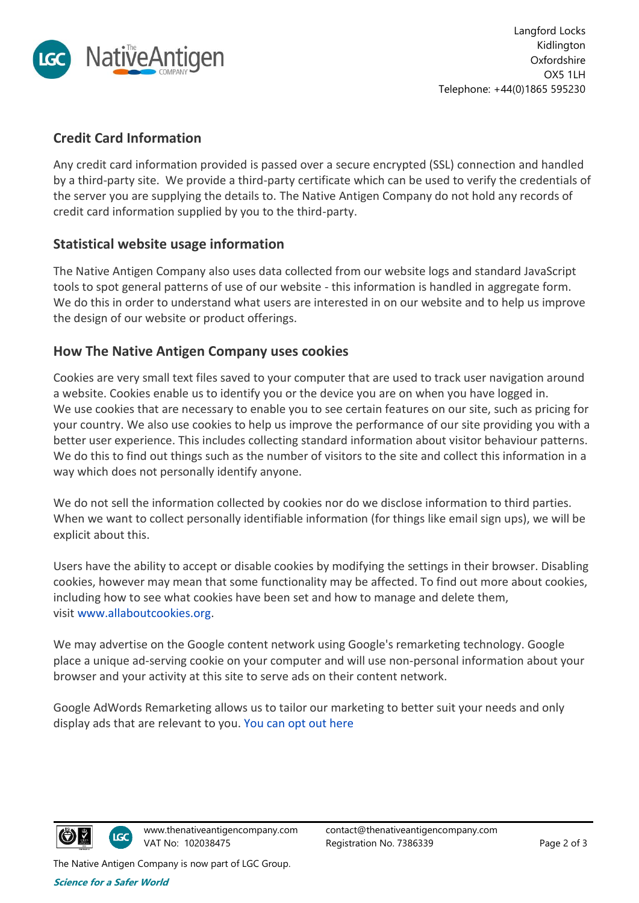

# **Credit Card Information**

Any credit card information provided is passed over a secure encrypted (SSL) connection and handled by a third-party site. We provide a third-party certificate which can be used to verify the credentials of the server you are supplying the details to. The Native Antigen Company do not hold any records of credit card information supplied by you to the third-party.

# **Statistical website usage information**

The Native Antigen Company also uses data collected from our website logs and standard JavaScript tools to spot general patterns of use of our website - this information is handled in aggregate form. We do this in order to understand what users are interested in on our website and to help us improve the design of our website or product offerings.

# **How The Native Antigen Company uses cookies**

Cookies are very small text files saved to your computer that are used to track user navigation around a website. Cookies enable us to identify you or the device you are on when you have logged in. We use cookies that are necessary to enable you to see certain features on our site, such as pricing for your country. We also use cookies to help us improve the performance of our site providing you with a better user experience. This includes collecting standard information about visitor behaviour patterns. We do this to find out things such as the number of visitors to the site and collect this information in a way which does not personally identify anyone.

We do not sell the information collected by cookies nor do we disclose information to third parties. When we want to collect personally identifiable information (for things like email sign ups), we will be explicit about this.

Users have the ability to accept or disable cookies by modifying the settings in their browser. Disabling cookies, however may mean that some functionality may be affected. To find out more about cookies, including how to see what cookies have been set and how to manage and delete them, visit [www.allaboutcookies.org.](http://www.allaboutcookies.org/)

We may advertise on the Google content network using Google's remarketing technology. Google place a unique ad-serving cookie on your computer and will use non-personal information about your browser and your activity at this site to serve ads on their content network.

Google AdWords Remarketing allows us to tailor our marketing to better suit your needs and only display ads that are relevant to you. [You can opt out here](http://www.google.com/settings/ads)



The Native Antigen Company is now part of LGC Group.

**Science for a Safer World**